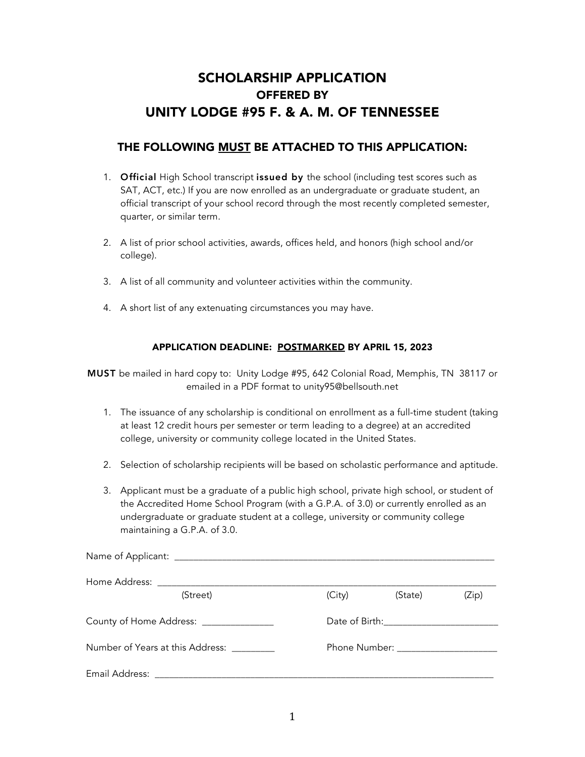# SCHOLARSHIP APPLICATION OFFERED BY UNITY LODGE #95 F. & A. M. OF TENNESSEE

## THE FOLLOWING MUST BE ATTACHED TO THIS APPLICATION:

- 1. **Official** High School transcript issued by the school (including test scores such as SAT, ACT, etc.) If you are now enrolled as an undergraduate or graduate student, an official transcript of your school record through the most recently completed semester, quarter, or similar term.
- 2. A list of prior school activities, awards, offices held, and honors (high school and/or college).
- 3. A list of all community and volunteer activities within the community.
- 4. A short list of any extenuating circumstances you may have.

#### APPLICATION DEADLINE: POSTMARKED BY APRIL 15, 2023

MUST be mailed in hard copy to: Unity Lodge #95, 642 Colonial Road, Memphis, TN 38117 or emailed in a PDF format to unity95@bellsouth.net

- 1. The issuance of any scholarship is conditional on enrollment as a full-time student (taking at least 12 credit hours per semester or term leading to a degree) at an accredited college, university or community college located in the United States.
- 2. Selection of scholarship recipients will be based on scholastic performance and aptitude.
- 3. Applicant must be a graduate of a public high school, private high school, or student of the Accredited Home School Program (with a G.P.A. of 3.0) or currently enrolled as an undergraduate or graduate student at a college, university or community college maintaining a G.P.A. of 3.0.

| (Street)                               | (City) | (State) | (Zip) |
|----------------------------------------|--------|---------|-------|
| County of Home Address: ______________ |        |         |       |
| Number of Years at this Address:       |        |         |       |
|                                        |        |         |       |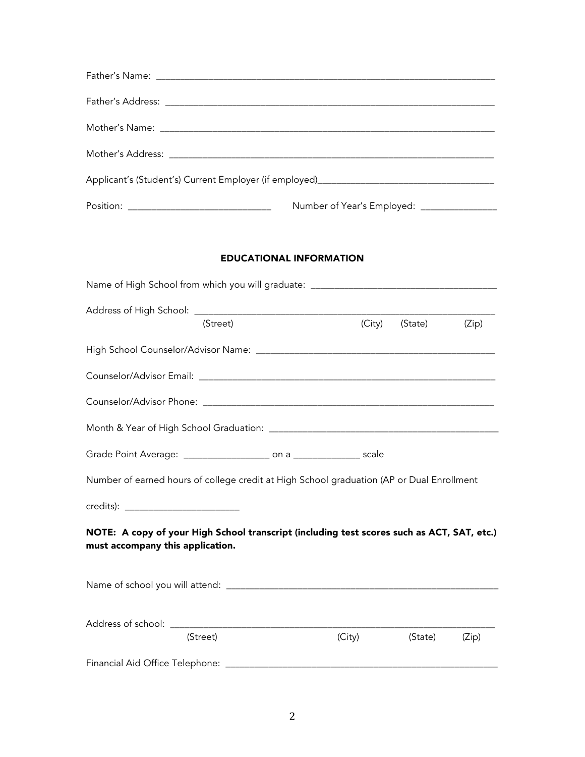### EDUCATIONAL INFORMATION

| Name of High School from which you will graduate: _______________________________                                              |        |         |       |
|--------------------------------------------------------------------------------------------------------------------------------|--------|---------|-------|
| (Street)                                                                                                                       | (City) | (State) | (Zip) |
|                                                                                                                                |        |         |       |
|                                                                                                                                |        |         |       |
|                                                                                                                                |        |         |       |
|                                                                                                                                |        |         |       |
|                                                                                                                                |        |         |       |
| Number of earned hours of college credit at High School graduation (AP or Dual Enrollment                                      |        |         |       |
|                                                                                                                                |        |         |       |
| NOTE: A copy of your High School transcript (including test scores such as ACT, SAT, etc.)<br>must accompany this application. |        |         |       |
|                                                                                                                                |        |         |       |
| (Street)                                                                                                                       | (City) | (State) | (Zip) |
|                                                                                                                                |        |         |       |